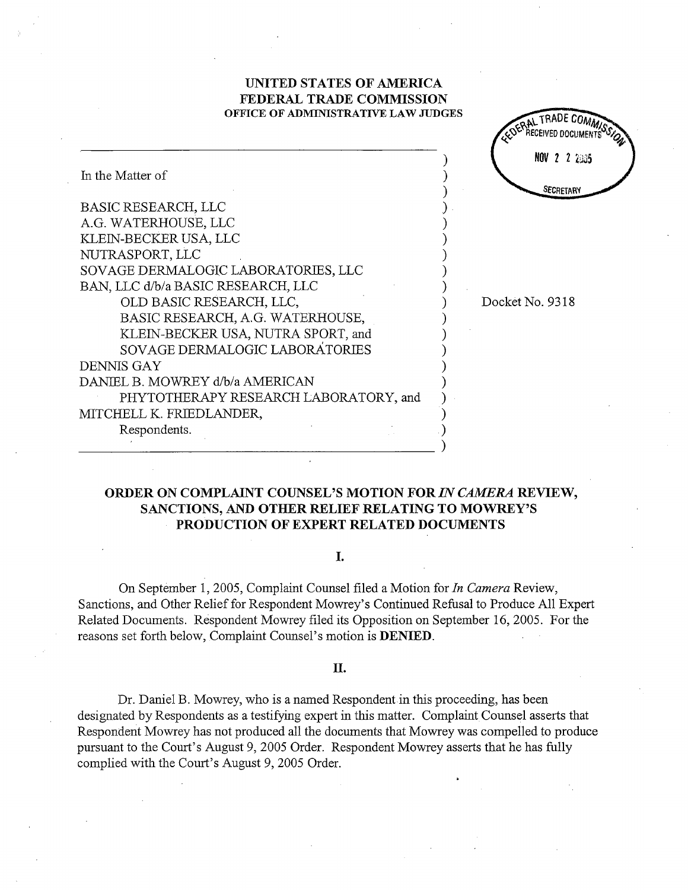## UNITED STATES OF AMRICA FEDERAL TRADE COMMISSION OFFICE OF ADMINISTRATIVE LAW JUDGES

|                                       | <b>UCOCINED DOCUME</b> |
|---------------------------------------|------------------------|
|                                       | NOV 2 2 2:33           |
| In the Matter of                      | SECRETARY              |
| BASIC RESEARCH, LLC                   |                        |
| A.G. WATERHOUSE, LLC                  |                        |
| KLEIN-BECKER USA, LLC                 |                        |
| NUTRASPORT, LLC                       |                        |
| SOVAGE DERMALOGIC LABORATORIES, LLC   |                        |
| BAN, LLC d/b/a BASIC RESEARCH, LLC    |                        |
| OLD BASIC RESEARCH, LLC,              | Docket No. 9318        |
| BASIC RESEARCH, A.G. WATERHOUSE,      |                        |
| KLEIN-BECKER USA, NUTRA SPORT, and    |                        |
| SOVAGE DERMALOGIC LABORATORIES        |                        |
| <b>DENNIS GAY</b>                     |                        |
| DANIEL B. MOWREY d/b/a AMERICAN       |                        |
| PHYTOTHERAPY RESEARCH LABORATORY, and |                        |
| MITCHELL K. FRIEDLANDER,              |                        |
| Respondents.                          |                        |
|                                       |                        |

## ORDER ON COMPLAINT COUNSEL'S MOTION FOR IN CAMERA REVIEW SANCTIONS, AND OTHER RELIEF RELATING TO MOWREY' PRODUCTION OF EXPERT RELATED DOCUMENTS

I.

On September 1, 2005, Complaint Counsel filed a Motion for In Camera Review, Sanctions, and Other Relief for Respondent Mowrey s Continued Refusal to Produce All Expert Related Documents. Respondent Mowrey fied its Opposition on September 16 2005. For the reasons set forth below, Complaint Counsel's motion is DENIED.

## II.

Dr. Daniel B. Mowrey, who is a named Respondent in this proceeding, has been designated by Respondents as a testifyng expert in this matter. Complaint Counsel asserts that Respondent Mowrey has not produced all the documents that Mowrey was compelled to produce pursuant to the Court's August 9, 2005 Order. Respondent Mowrey asserts that he has fully complied with the Court's August 9, 2005 Order.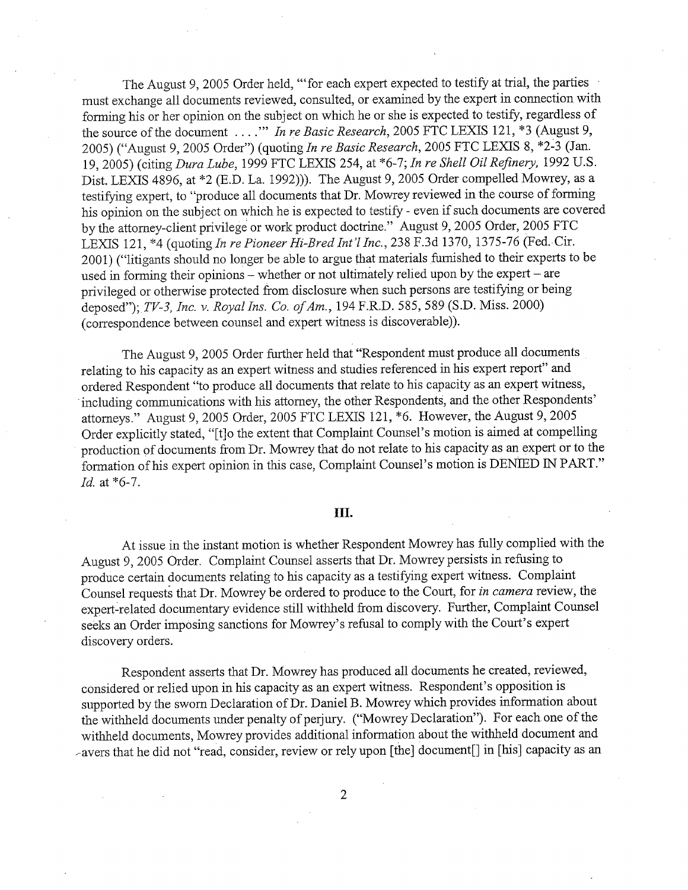The August 9, 2005 Order held, "'for each expert expected to testify at trial, the parties must exchange all documents reviewed, consulted, or examined by the expert in connection with forming his or her opinion on the subject on which he or she is expected to testify, regardless of the source of the document ...." In re Basic Research, 2005 FTC LEXIS 121, \*3 (August 9 2005) ("August 9, 2005 Order") (quoting In re Basic Research, 2005 FTC LEXIS 8, \*2-3 (Jan. 19, 2005) (citing Dura Lube, 1999 FTC LEXIS 254, at \*6-7; In re Shell Oil Refinery, 1992 U.S. Dist. LEXIS 4896, at \*2 (E.D. La. 1992))). The August 9, 2005 Order compelled Mowrey, as a testifyng expert, to "produce all documents that Dr. Mowrey reviewed in the course of forming his opinion on the subject on which he is expected to testify - even if such documents are covered by the attorney-client privilege or work product doctrine." August 9, 2005 Order, 2005 FTC LEXIS 121, \*4 (quoting In re Pioneer Hi-Bred Int'l Inc., 238 F.3d 1370, 1375-76 (Fed. Cir. 2001) ("litigants should no longer be able to argue that materials furnished to their experts to be used in forming their opinions - whether or not ultimately relied upon by the expert - are privileged or otherwise protected from disclosure when such persons are testifying or being deposed"); TV-3, Inc. v. Royal Ins. Co. of Am., 194 F.R.D. 585, 589 (S.D. Miss. 2000) (correspondence between counsel and expert witness is discoverable)).

The August 9, 2005 Order further held that "Respondent must produce all documents relating to his capacity as an expert witness and studies referenced in his expert report" and ordered Respondent "to produce all documents that relate to his capacity as an expert witness including communications with his attorney, the other Respondents, and the other Respondents attorneys." August 9, 2005 Order, 2005 FTC LEXIS 121, \*6. However, the August 9, 2005 Order explicitly stated, "[t]o the extent that Complaint Counsel's motion is aimed at compelling production of documents from Dr. Mowrey that do not relate to his capacity as an expert or to the formation of his expert opinion in this case, Complaint Counsel's motion is DENIED IN PART." Id. at  $*6-7$ .

## III.

At issue in the instant motion is whether Respondent Mowrey has fully complied with the August 9, 2005 Order. Complaint Counsel asserts that Dr. Mowrey persists in refusing to produce certain documents relating to his capacity as a testifying expert witness. Complaint Counsel requests that Dr. Mowrey be ordered to produce to the Cour, for in camera review, the expert-related documentary evidence still withheld from discovery. Further, Complaint Counsel seeks an Order imposing sanctions for Mowrey's refusal to comply with the Court's expert discovery orders.

Respondent asserts that Dr. Mowrey has produced all documents he created, reviewed considered or relied upon in his capacity as an expert witness. Respondent's opposition is supported by the sworn Declaration of Dr. Daniel B. Mowrey which provides information about the withheld documents under penalty of perjury. ("Mowrey Declaration"). For each one of the withheld documents, Mowrey provides additional information about the withheld document and avers that he did not "read, consider, review or rely upon (the) document() in (his) capacity as an

 $\overline{2}$